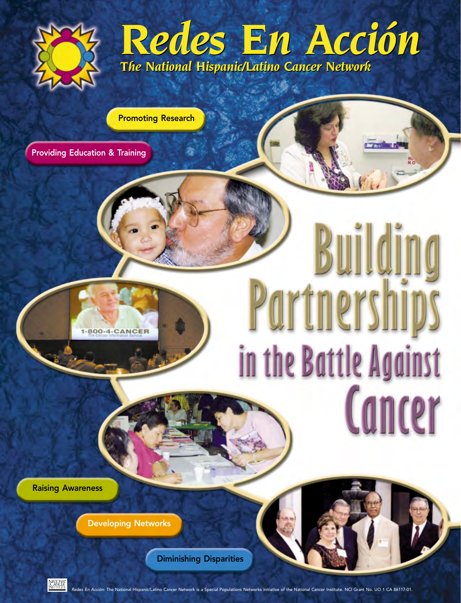

# *Redes En Acción The National Hispanic/Latino Cancer Network Redes En Acción The National Hispanic/Latino Cancer Network*

Promoting Research

Providing Education & Training

# Buildin Partnerships in the Battle Against Cancer

Raising Awareness

Developing Networks

1-800-4-CANCER

Diminishing Disparities



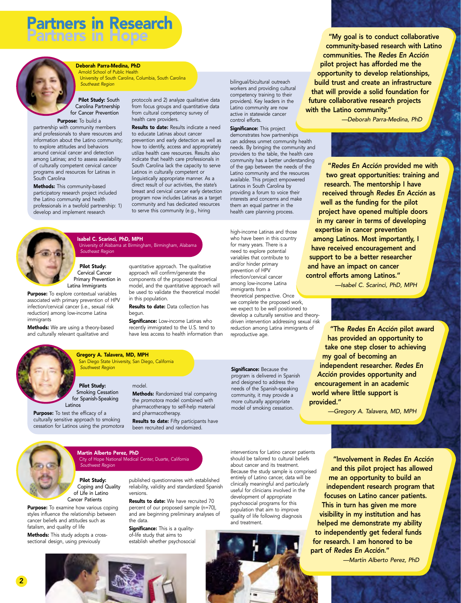

### Deborah Parra-Medina, PhD

Arnold School of Public Health University of South Carolina, Columbia, South Carolina *Southeast Region*

Pilot Study: South Carolina Partnership for Cancer Prevention

Purpose: To build a partnership with community members and professionals to share resources and information about the Latino community; to explore attitudes and behaviors around cervical cancer and detection among Latinas; and to assess availability of culturally competent cervical cancer programs and resources for Latinas in South Carolina

Methods: This community-based participatory research project included the Latino community and health professionals in a twofold partnership: 1) develop and implement research

protocols and 2) analyze qualitative data from focus groups and quantitative data from cultural competency survey of health care providers.

Results to date: Results indicate a need to educate Latinas about cancer prevention and early detection as well as how to identify, access and appropriately utilize health care resources. Results also indicate that health care professionals in South Carolina lack the capacity to serve Latinos in culturally competent or linguistically appropriate manner. As a direct result of our activities, the state's breast and cervical cancer early detection program now includes Latinas as a target community and has dedicated resources to serve this community (e.g., hiring

quantitative approach. The qualitative approach will confirm/generate the components of the proposed theoretical model, and the quantitative approach will be used to validate the theoretical model

**Results to date:** Data collection has

Significance: Low-income Latinas who recently immigrated to the U.S. tend to have less access to health information than



Isabel C. Scarinci, PhD, MPH University of Alabama at Birmingham, Birmingham, Alabama *Southeast Region*

Pilot Study: Cervical Cancer Primary Prevention in Latina Immigrants

**Purpose:** To explore contextual variables associated with primary prevention of HPV infection/cervical cancer (i.e., sexual risk reduction) among low-income Latina immigrants

Methods: We are using a theory-based and culturally relevant qualitative and



### Pilot Study: Smoking Cessation for Spanish-Speaking

*Southwest Region*

Gregory A. Talavera, MD, MPH

San Diego State University, San Diego, California

Purpose: To test the efficacy of a culturally sensitive approach to smoking the *promotora* model combined with pharmacotherapy to self-help material and pharmacotherapy.

model.

in this population.

begun.

**Results to date:** Fifty participants have been recruited and randomized.

**Methods:** Randomized trial comparing

Martin Alberto Perez, PhD City of Hope National Medical Center, Duarte, California

Pilot Study: Coping and Quality of Life in Latino Cancer Patients

*Southwest Region*

Purpose: To examine how various coping styles influence the relationship between cancer beliefs and attitudes such as fatalism, and quality of life

cessation for Latinos using the *promotora*

Methods: This study adopts a crosssectional design, using previously

published questionnaires with established

reliability, validity and standardized Spanish versions. Results to date: We have recruited 70

percent of our proposed sample (n=70), and are beginning preliminary analyses of the data.

Significance: This is a qualityof-life study that aims to establish whether psychosocial interventions for Latino cancer patients should be tailored to cultural beliefs about cancer and its treatment. Because the study sample is comprised entirely of Latino cancer, data will be clinically meaningful and particularly useful for clinicians involved in the development of appropriate psychosocial programs for this population that aim to improve quality of life following diagnosis and treatment.

Significance: Because the program is delivered in Spanish and designed to address the needs of the Spanish-speaking community, it may provide a more culturally appropriate model of smoking cessation.

reproductive age.

high-income Latinas and those who have been in this country for many years. There is a need to explore potential variables that contribute to and/or hinder primary prevention of HPV infection/cervical cancer among low-income Latina immigrants from a

bilingual/bicultural outreach workers and providing cultural competency training to their providers). Key leaders in the Latino community are now active in statewide cancer

**Significance:** This project demonstrates how partnerships can address unmet community health needs. By bringing the community and providers to the table, the health care community has a better understanding of the gap between the needs of the Latino community and the resources available. This project empowered Latinos in South Carolina by providing a forum to voice their interests and concerns and make them an equal partner in the health care planning process.

control efforts.

theoretical perspective. Once we complete the proposed work, we expect to be well positioned to develop a culturally sensitive and theory-

reduction among Latina immigrants of



"My goal is to conduct collaborative community-based research with Latino communities. The *Redes En Acción* pilot project has afforded me the opportunity to develop relationships, build trust and create an infrastructure that will provide a solid foundation for future collaborative research projects with the Latino community."

*—Deborah Parra-Medina, PhD*



"*Redes En Acción* provided me with two great opportunities: training and research. The mentorship I have received through *Redes En Acción* as well as the funding for the pilot project have opened multiple doors in my career in terms of developing expertise in cancer prevention among Latinos. Most importantly, I have received encouragement and support to be a better researcher and have an impact on cancer control efforts among Latinos."

*—Isabel C. Scarinci, PhD, MPH*

driven intervention addressing sexual risk "The *Redes En Acción* pilot award has provided an opportunity to take one step closer to achieving my goal of becoming an independent researcher. *Redes En Acción* provides opportunity and encouragement in an academic world where little support is provided."

*—Gregory A. Talavera, MD, MPH*

"Involvement in *Redes En Acción* and this pilot project has allowed me an opportunity to build an independent research program that focuses on Latino cancer patients. This in turn has given me more visibility in my institution and has helped me demonstrate my ability to independently get federal funds for research. I am honored to be part of *Redes En Acción*."

*—Martin Alberto Perez, PhD*

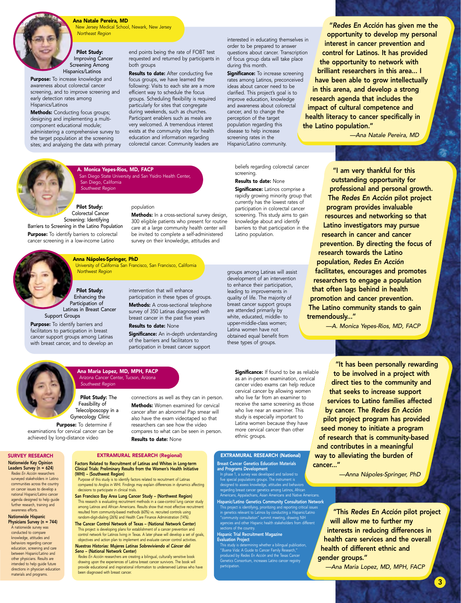

New Jersey Medical School, Newark, New Jersey *Northeast Region*

### Pilot Study: Improving Cancer Screening Among Hispanics/Latinos

Purpose: To increase knowledge and awareness about colorectal cancer screening, and to improve screening and early detection rates among Hispanics/Latinos

**Methods:** Conducting focus groups; designing and implementing a multicomponent educational module; administering a comprehensive survey to the target population at the screening sites; and analyzing the data with primary end points being the rate of FOBT test requested and returned by participants in both groups

Results to date: After conducting five focus groups, we have learned the following: Visits to each site are a more efficient way to schedule the focus groups. Scheduling flexibility is required particularly for sites that congregate during weekends, such as churches. Participant enablers such as meals are very welcomed. A tremendous interest exists at the community sites for health education and information regarding colorectal cancer. Community leaders are

interested in educating themselves in order to be prepared to answer questions about cancer. Transcription of focus group data will take place during this month.

Significance: To increase screening rates among Latinos, preconceived ideas about cancer need to be clarified. This project's goal is to improve education, knowledge and awareness about colorectal cancer, and to change the perception of the target population regarding this disease to help increase screening rates in the Hispanic/Latino community.

"*Redes En Acción* has given me the opportunity to develop my personal interest in cancer prevention and control for Latinos. It has provided the opportunity to network with brilliant researchers in this area... I have been able to grow intellectually in this arena, and develop a strong research agenda that includes the impact of cultural competence and health literacy to cancer specifically in the Latino population."

*—Ana Natale Pereira, MD*



A. Monica Yepes-Rios, MD, FACP San Diego State University and San Ysidro Health Center, San Diego, California *Southwest Region*

# population

Methods: In a cross-sectional survey design, 300 eligible patients who present for routine care at a large community health center will be invited to complete a self-administered survey on their knowledge, attitudes and



Pilot Study: Enhancing the Participation of Latinas in Breast Cancer Support Groups

*Northwest Region*

Screening: Identifying

Barriers to Screening in the Latino Population Purpose: To identify barriers to colorectal cancer screening in a low-income Latino

Purpose: To identify barriers and facilitators to participation in breast cancer support groups among Latinas with breast cancer, and to develop an intervention that will enhance participation in these types of groups. Methods: A cross-sectional telephone survey of 350 Latinas diagnosed with breast cancer in the past five years

Results to date: None **Significance:** An in-depth understanding of the barriers and facilitators to participation in breast cancer support

beliefs regarding colorectal cancer screening. Results to date: None

Significance: Latinos comprise a rapidly growing minority group that currently has the lowest rates of participation in colorectal cancer screening. This study aims to gain knowledge about and identify barriers to that participation in the Latino population.

groups among Latinas will assist development of an intervention to enhance their participation, leading to improvements in quality of life. The majority of breast cancer support groups are attended primarily by white, educated, middle- to upper-middle-class women; Latina women have not obtained equal benefit from these types of groups.

"I am very thankful for this outstanding opportunity for professional and personal growth. The *Redes En Acción* pilot project program provides invaluable resources and networking so that Latino investigators may pursue research in cancer and cancer prevention. By directing the focus of research towards the Latino population, *Redes En Acción* facilitates, encourages and promotes researchers to engage a population that often lags behind in health promotion and cancer prevention. The Latino community stands to gain tremendously..."

*—A. Monica Yepes-Rios, MD, FACP*

**Significance:** If found to be as reliable "It has been personally rewarding to be involved in a project with direct ties to the community and that seeks to increase support services to Latino families affected by cancer. The *Redes En Acción* pilot project program has provided seed money to initiate a program of research that is community-based and contributes in a meaningful way to alleviating the burden of cancer..."

*—Anna Nápoles-Springer, PhD*

"This *Redes En Acción* pilot project will allow me to further my interests in reducing differences in health care services and the overall health of different ethnic and gender groups."

*—Ana Maria Lopez, MD, MPH, FACP*

Pilot Study: The Ana Maria Lopez, MD, MPH, FACP *Southwest Region*

Feasibility of Telecolposcopy in a Gynecology Clinic

(WHI) – (Southwest Region)

decisions to participate in clinical trials.

*Seno* – (National Network Center)

been diagnosed with breast cancer.

Purpose: To determine if examinations for cervical cancer can be achieved by long-distance video

#### SURVEY RESEARCH Nationwide Key Opinion Leaders Survey (n = 624)

*Redes En Acción* researchers surveyed stakeholders in Latino communities across the country on cancer issues to develop a national Hispanic/Latino cancer agenda designed to help guide further research, training and awareness efforts.

#### Nationwide Hispanic Physicians Survey (n = 744) A nationwide survey was

conducted to compare knowledge, attitudes and behaviors regarding cancer education, screening and care between Hispanic/Latino and other physicians. Results are intended to help guide future directions in physician education materials and programs.

# Arizona Cancer Center, Tucson, Arizona

EXTRAMURAL RESEARCH (Regional) Factors Related to Recruitment of Latinas and Whites in Long-term Clinical Trials: Preliminary Results from the Women's Health Initiative

Purpose of this study is to identify factors related to recruitment of Latinas compared to Anglos in WHI. Findings may explain differences in dynamics affecting

San Francisco Bay Area Lung Cancer Study – (Northwest Region) This research is evaluating recruitment methods in a case-control lung cancer study among Latinos and African Americans. Results show that most effective recruitment resulted from community-based methods (60%) vs. recruited controls using random-digit-dialing (26%) and Health Care Finance Administration (14%). The Cancer Control Network of Texas – (National Network Center) This project is developing plans for establishment of a cancer prevention and control network for Latinos living in Texas. A later phase will develop a set of goals, objectives and action plan to implement and evaluate cancer control activities. *Nuestras Historias: Mujeres Latinas Sobreviviendo el Cáncer del* 

*Redes En Acción* researchers are creating a bilingual, culturally sensitive book drawing upon the experiences of Latina breast cancer survivors. The book will provide educational and inspirational information to underserved Latinas who have

Methods: Women examined for cervical cancer after an abnormal Pap smear will also have the exam videotaped so that researchers can see how the video compares to what can be seen in person. cancer video exams can help reduce cervical cancer by allowing women who live far from an examiner to receive the same screening as those who live near an examiner. This study is especially important to Latina women because they have more cervical cancer than other ethnic groups.

# Breast Cancer Genetics Education Materials

In phase 1, a survey was developed and tailored to five special populations groups. The instrument is designed to assess knowledge, attitudes and behaviors regarding breast cancer genetics among Latinos, African

Hispanic/Latino Genetics Community Consultation Network This project is identifying, prioritizing and reporting critical issues in genetics relevant to Latinos by conducting a Hispanic/Latino "community consultation" summit meeting, drawing NIH agencies and other Hispanic health stakeholders from different sections of the country.

#### Hispanic Trial Recruitment Magazine Evaluation Project

This study is determining whether a bilingual publication, "*Buena Vida*: A Guide to Cancer Family Research," produced by *Redes En Acción* and the Texas Cancer Genetics Consortium, increases Latino cancer registry participation.

EXTRAMURAL RESEARCH (National)

and Programs Development

Americans, Appalachians, Asian Americans and Native Americans.

3

connections as well as they can in person. Results to date: None as an in-person examination, cervical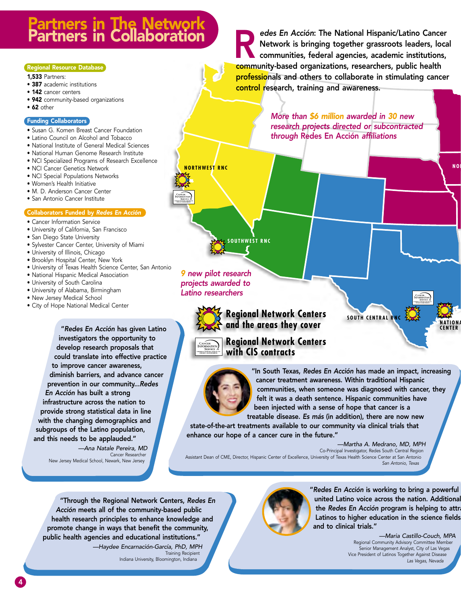# 'artners in The Network<br>'artners in Collaboratior

# Regional Resource Database

1,533 Partners:

- 387 academic institutions
- 142 cancer centers
- 942 community-based organizations
- 62 other

## Funding Collaborators

- Susan G. Komen Breast Cancer Foundation
- Latino Council on Alcohol and Tobacco
- National Institute of General Medical Sciences
- National Human Genome Research Institute
- NCI Specialized Programs of Research Excellence
- NCI Cancer Genetics Network
- NCI Special Populations Networks
- Women's Health Initiative
- M. D. Anderson Cancer Center
- San Antonio Cancer Institute

# Collaborators Funded by *Redes En Acción*

- Cancer Information Service
- University of California, San Francisco
- San Diego State University
- Sylvester Cancer Center, University of Miami
- University of Illinois, Chicago
- Brooklyn Hospital Center, New York
- University of Texas Health Science Center, San Antonio
- National Hispanic Medical Association
- University of South Carolina
- University of Alabama, Birmingham
- New Jersey Medical School
- City of Hope National Medical Center

"*Redes En Acción* has given Latino investigators the opportunity to develop research proposals that could translate into effective practice to improve cancer awareness, diminish barriers, and advance cancer prevention in our community...*Redes En Acción* has built a strong infrastructure across the nation to provide strong statistical data in line with the changing demographics and subgroups of the Latino population, and this needs to be applauded."

> *—Ana Natale Pereira, MD* Cancer Researcher New Jersey Medical School, Newark, New Jersey

edes En Acción: The National Hispanic/Latino Cancer<br>Network is bringing together grassroots leaders, loca<br>community based erapizations, researchers, public health Network is bringing together grassroots leaders, local communities, federal agencies, academic institutions, community-based organizations, researchers, public health professionals and others to collaborate in stimulating cancer control research, training and awareness.

> *More than \$6 million awarded in 30 new research projects directed or subcontracted through* Redes En Acción *affiliations*

**SOUTHWEST RNC**

*9 new pilot research projects awarded to Latino researchers*



**NORTHWEST RNC**

**Regional Network Centers and the areas they cover**



**NATIONA CENTER** 

**NO** 



**Regional Network Centers with CIS contracts**



"In South Texas, *Redes En Acción* has made an impact, increasing cancer treatment awareness. Within traditional Hispanic communities, when someone was diagnosed with cancer, they felt it was a death sentence. Hispanic communities have been injected with a sense of hope that cancer is a treatable disease. *Es más* (in addition), there are now new

state-of-the-art treatments available to our community via clinical trials that enhance our hope of a cancer cure in the future."

*—Martha A. Medrano, MD, MPH*

Co-Principal Investigator, Redes South Central Region Assistant Dean of CME, Director, Hispanic Center of Excellence, University of Texas Health Science Center at San Antonio *San Antonio, Texas*

"Through the Regional Network Centers, *Redes En Acción* meets all of the community-based public health research principles to enhance knowledge and promote change in ways that benefit the community, public health agencies and educational institutions." *—Haydee Encarnación-García, PhD, MPH* Training Recipient Indiana University, Bloomington, Indiana



"*Redes En Acción* is working to bring a powerful united Latino voice across the nation. Additional the *Redes En Acción* program is helping to attra Latinos to higher education in the science fields and to clinical trials."

> *—Maria Castillo-Couch, MPA* Regional Community Advisory Committee Member Senior Management Analyst, City of Las Vegas Vice President of Latinos Together Against Disease *Las Vegas, Nevada*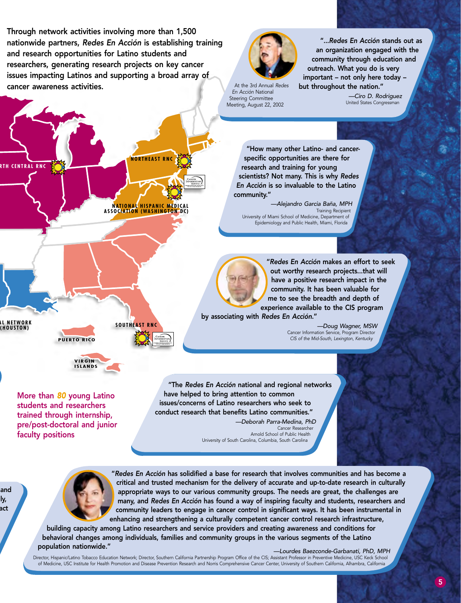Through network activities involving more than 1,500 nationwide partners, *Redes En Acción* is establishing training and research opportunities for Latino students and researchers, generating research projects on key cancer issues impacting Latinos and supporting a broad array of cancer awareness activities.

**NORTHEAST RNC**

**NATIONAL HISPANIC MEDICAL ASSOCIATION (WASHINGTON DC)**

**SOUTHEAST RNC**



At the 3rd Annual *Redes En Acción* National Steering Committee Meeting, August 22, 2002

"...*Redes En Acción* stands out as an organization engaged with the community through education and outreach. What you do is very important – not only here today – but throughout the nation."

> *—Ciro D. Rodriguez* United States Congressman

"How many other Latino- and cancerspecific opportunities are there for research and training for young scientists? Not many. This is why *Redes En Acción* is so invaluable to the Latino community."

*—Alejandro Garcia Baña, MPH* Training Recipient University of Miami School of Medicine, Department of Epidemiology and Public Health, Miami, Florida



"*Redes En Acción* makes an effort to seek out worthy research projects...that will have a positive research impact in the community. It has been valuable for me to see the breadth and depth of experience available to the CIS program

by associating with *Redes En Acción*."

*—Doug Wagner, MSW* Cancer Information Service, Program Director *CIS of the Mid-South, Lexington, Kentucky*

More than *80* young Latino students and researchers trained through internship, pre/post-doctoral and junior faculty positions

**PUERTO RICO**

**AL NETWORK (HOUSTON)**

and lly, act

**RTH CENTRAL RNC**

**VIRGIN ISLANDS**

> "The *Redes En Acción* national and regional networks have helped to bring attention to common issues/concerns of Latino researchers who seek to conduct research that benefits Latino communities." *—Deborah Parra-Medina, PhD*

Cancer Researcher Arnold School of Public Health University of South Carolina, Columbia, South Carolina



"*Redes En Acción* has solidified a base for research that involves communities and has become a critical and trusted mechanism for the delivery of accurate and up-to-date research in culturally appropriate ways to our various community groups. The needs are great, the challenges are many, and *Redes En Acción* has found a way of inspiring faculty and students, researchers and community leaders to engage in cancer control in significant ways. It has been instrumental in enhancing and strengthening a culturally competent cancer control research infrastructure,

building capacity among Latino researchers and service providers and creating awareness and conditions for behavioral changes among individuals, families and community groups in the various segments of the Latino population nationwide." *—Lourdes Baezconde-Garbanati, PhD, MPH*

Director, Hispanic/Latino Tobacco Education Network; Director, Southern California Partnership Program Office of the CIS; Assistant Professor in Preventive Medicine, USC Keck School of Medicine, USC Institute for Health Promotion and Disease Prevention Research and Norris Comprehensive Cancer Center, University of Southern California, Alhambra, California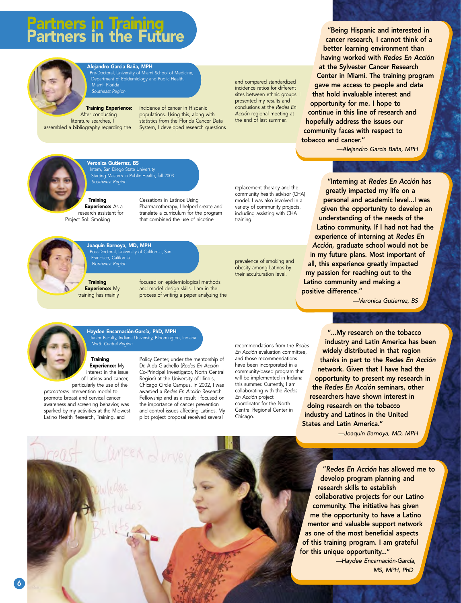# rtners in Training<br>rtners in the Fut



# Alejandro Garcia Baña, MPH

Pre-Doctoral, University of Miami School of Medicine, Department of Epidemiology and Public Health, Miami, Florida *Southeast Region*

Training Experience: After conducting literature searches, I assembled a bibliography regarding the

incidence of cancer in Hispanic populations. Using this, along with statistics from the Florida Cancer Data System, I developed research questions and compared standardized incidence ratios for different sites between ethnic groups. I presented my results and conclusions at the *Redes En Acción* regional meeting at the end of last summer.

"Being Hispanic and interested in cancer research, I cannot think of a better learning environment than having worked with *Redes En Acción* at the Sylvester Cancer Research Center in Miami. The training program gave me access to people and data that hold invaluable interest and opportunity for me. I hope to continue in this line of research and hopefully address the issues our community faces with respect to tobacco and cancer."

*—Alejandro Garcia Baña, MPH*



Veronica Gutierrez, BS Intern, San Diego State University Starting Master's in Public Health, fall 2003

**Training Experience:** As a research assistant for Project Sol: Smoking

> **Training** Experience: My training has mainly

Joaquin Barnoya, MD, MPH

Francisco, California *Northwest Region*

Post-Doctoral, University of California, San

Cessations in Latinos Using Pharmacotherapy, I helped create and translate a curriculum for the program that combined the use of nicotine

focused on epidemiological methods and model design skills. I am in the process of writing a paper analyzing the

replacement therapy and the community health advisor (CHA) model. I was also involved in a variety of community projects, including assisting with CHA training.

prevalence of smoking and obesity among Latinos by their acculturation level.

*Southwest Region* "Interning at *Redes En Acción* has greatly impacted my life on a personal and academic level...I was given the opportunity to develop an understanding of the needs of the Latino community. If I had not had the experience of interning at *Redes En Acción*, graduate school would not be in my future plans. Most important of all, this experience greatly impacted my passion for reaching out to the Latino community and making a positive difference."

*—Veronica Gutierrez, BS*



Haydee Encarnación-García, PhD, MPH hior Faculty, Indiana University, Bloomington, Indiana *North Central Region*

**Training** Experience: My interest in the issue of Latinas and cancer,

particularly the use of the *promotoras* intervention model to promote breast and cervical cancer awareness and screening behavior, was sparked by my activities at the Midwest Latino Health Research, Training, and

Policy Center, under the mentorship of Dr. Aida Giachello (*Redes En Acción* Co-Principal Investigator, North Central Region) at the University of Illinois, Chicago Circle Campus. In 2002, I was awarded a *Redes En Acción* Research Fellowship and as a result I focused on the importance of cancer prevention and control issues affecting Latinos. My pilot project proposal received several

recommendations from the *Redes En Acción* evaluation committee, and those recommendations have been incorporated in a community-based program that will be implemented in Indiana this summer. Currently, I am collaborating with the *Redes En Acción* project coordinator for the North Central Regional Center in Chicago.

"...My research on the tobacco industry and Latin America has been widely distributed in that region thanks in part to the *Redes En Acción* network. Given that I have had the opportunity to present my research in the *Redes En Acción* seminars, other researchers have shown interest in doing research on the tobacco industry and Latinos in the United States and Latin America."

*—Joaquin Barnoya, MD, MPH*

"*Redes En Acción* has allowed me to develop program planning and research skills to establish collaborative projects for our Latino community. The initiative has given me the opportunity to have a Latino mentor and valuable support network as one of the most beneficial aspects of this training program. I am grateful for this unique opportunity..."

> *—Haydee Encarnación-García, MS, MPH, PhD*

# 6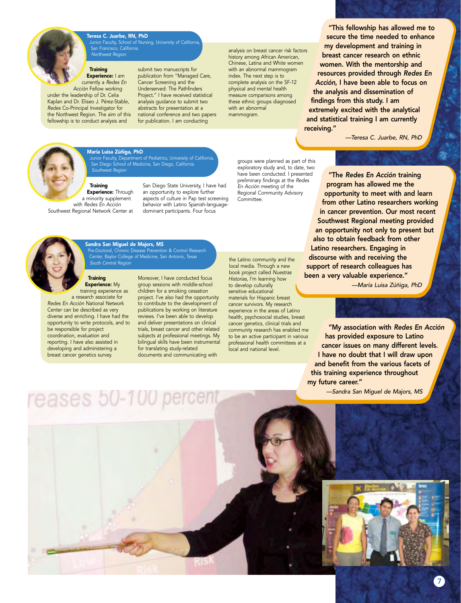

Teresa C. Juarbe, RN, PhD unior Faculty, School of Nursing, University of Californ San Francisco, California *Northwest Region*

### **Training** Experience: I am currently a *Redes En*

*Acción* Fellow working under the leadership of Dr. Celia Kaplan and Dr. Eliseo J. Pérez-Stable, *Redes* Co-Principal Investigator for the Northwest Region. The aim of this fellowship is to conduct analysis and

submit two manuscripts for publication from "Managed Care, Cancer Screening and the Underserved: The Pathfinders Project." I have received statistical analysis guidance to submit two abstracts for presentation at a national conference and two papers for publication. I am conducting

analysis on breast cancer risk factors history among African American, Chinese, Latina and White women with an abnormal mammogram index. The next step is to complete analysis on the SF-12 physical and mental health measure comparisons among these ethnic groups diagnosed with an abnormal mammogram.

"This fellowship has allowed me to secure the time needed to enhance my development and training in breast cancer research on ethnic women. With the mentorship and resources provided through *Redes En Acción*, I have been able to focus on the analysis and dissemination of findings from this study. I am extremely excited with the analytical and statistical training I am currently receiving."

*—Teresa C. Juarbe, RN, PhD*



#### María Luisa Zúñiga, PhD

Junior Faculty, Department of Pediatrics, University of California, San Diego School of Medicine, San Diego, California *Southwest Region*

#### **Training Experience: Through**

a minority supplement with *Redes En Acción* Southwest Regional Network Center at

San Diego State University, I have had an opportunity to explore further aspects of culture in Pap test screening behavior with Latino Spanish-languagedominant participants. Four focus

groups were planned as part of this exploratory study and, to date, two have been conducted. I presented preliminary findings at the *Redes En Acción* meeting of the Regional Community Advisory Committee.



Sandra San Miguel de Majors, MS Pre-Doctoral, Chronic Disease Prevention & Control Research Center, Baylor College of Medicine, San Antonio, Texas *South Central Region*

### **Training** Experience: My training experience as

reases 50-100 percent

a research associate for *Redes En Acción* National Network Center can be described as very diverse and enriching. I have had the opportunity to write protocols, and to be responsible for project coordination, evaluation and reporting. I have also assisted in developing and administering a breast cancer genetics survey.

Moreover, I have conducted focus group sessions with middle-school children for a smoking cessation project. I've also had the opportunity to contribute to the development of publications by working on literature reviews. I've been able to develop and deliver presentations on clinical trials, breast cancer and other related subjects at professional meetings. My bilingual skills have been instrumental for translating study-related documents and communicating with

the Latino community and the local media. Through a new book project called *Nuestras Historias*, I'm learning how to develop culturally sensitive educational materials for Hispanic breast cancer survivors. My research experience in the areas of Latino health, psychosocial studies, breast cancer genetics, clinical trials and community research has enabled me to be an active participant in various professional health committees at a local and national level.

"The *Redes En Acción* training program has allowed me the opportunity to meet with and learn from other Latino researchers working in cancer prevention. Our most recent Southwest Regional meeting provided an opportunity not only to present but also to obtain feedback from other Latino researchers. Engaging in discourse with and receiving the support of research colleagues has been a very valuable experience."

*—María Luisa Zúñiga, PhD*

"My association with *Redes En Acción* has provided exposure to Latino cancer issues on many different levels. I have no doubt that I will draw upon and benefit from the various facets of this training experience throughout my future career."

*—Sandra San Miguel de Majors, MS*



7